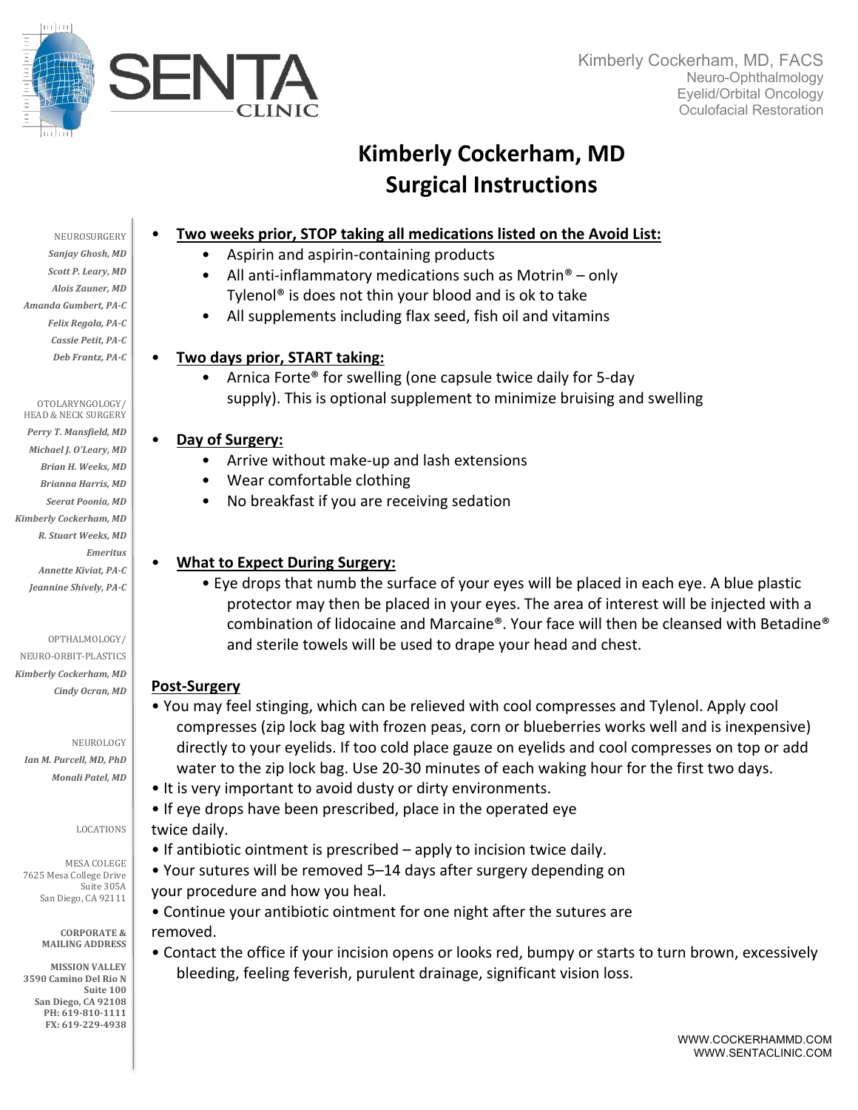

# **Kimberly Cockerham, MD Surgical Instructions**

# • **Two weeks prior, STOP taking all medications listed on the Avoid List:**

- Aspirin and aspirin-containing products
- All anti-inflammatory medications such as Motrin<sup>®</sup> only Tylenol® is does not thin your blood and is ok to take
- All supplements including flax seed, fish oil and vitamins

# • **Two days prior, START taking:**

• Arnica Forte® for swelling (one capsule twice daily for 5-day supply). This is optional supplement to minimize bruising and swelling

# • **Day of Surgery:**

- Arrive without make-up and lash extensions
- Wear comfortable clothing
- No breakfast if you are receiving sedation

# • **What to Expect During Surgery:**

• Eye drops that numb the surface of your eyes will be placed in each eye. A blue plastic protector may then be placed in your eyes. The area of interest will be injected with a combination of lidocaine and Marcaine®. Your face will then be cleansed with Betadine® and sterile towels will be used to drape your head and chest.

# **Post-Surgery**

- You may feel stinging, which can be relieved with cool compresses and Tylenol. Apply cool compresses (zip lock bag with frozen peas, corn or blueberries works well and is inexpensive) directly to your eyelids. If too cold place gauze on eyelids and cool compresses on top or add water to the zip lock bag. Use 20-30 minutes of each waking hour for the first two days.
- It is very important to avoid dusty or dirty environments.

• If eye drops have been prescribed, place in the operated eye twice daily.

- If antibiotic ointment is prescribed apply to incision twice daily.
- Your sutures will be removed 5–14 days after surgery depending on your procedure and how you heal.

• Continue your antibiotic ointment for one night after the sutures are removed.

• Contact the office if your incision opens or looks red, bumpy or starts to turn brown, excessively bleeding, feeling feverish, purulent drainage, significant vision loss.

NEUROSURGERY Sanjay Ghosh, MD **Scott P. Leary, MD** *Alois Zauner, MD Amanda Gumbert, PA-C Felix Regala, PA-C Cassie Petit, PA-C Deb Frantz, PA-C*

OTOLARYNGOLOGY/ HEAD & NECK SURGERY

Perry T. Mansfield, MD *Michael J. O'Leary, MD Brian H. Weeks, MD Brianna Harris, MD Seerat Poonia, MD Kimberly Cockerham, MD R. Stuart Weeks, MD Emeritus Annette Kiviat, PA-C* Jeannine Shively, PA-C

OPTHALMOLOGY/

NEURO-ORBIT-PLASTICS *Kimberly Cockerham, MD Cindy Ocran, MD*

NEUROLOGY *Ian M. Purcell, MD, PhD Monali Patel, MD*

#### LOCATIONS

MESA COLEGE 7625 Mesa College Drive Suite 305A San Diego, CA 92111

> **CORPORATE & MAILING ADDRESS**

**MISSION VALLEY 3590 Camino Del Rio N** Suite 100 **San Diego, CA 92108** PH: 619-810-1111 **FX: 619-229-4938**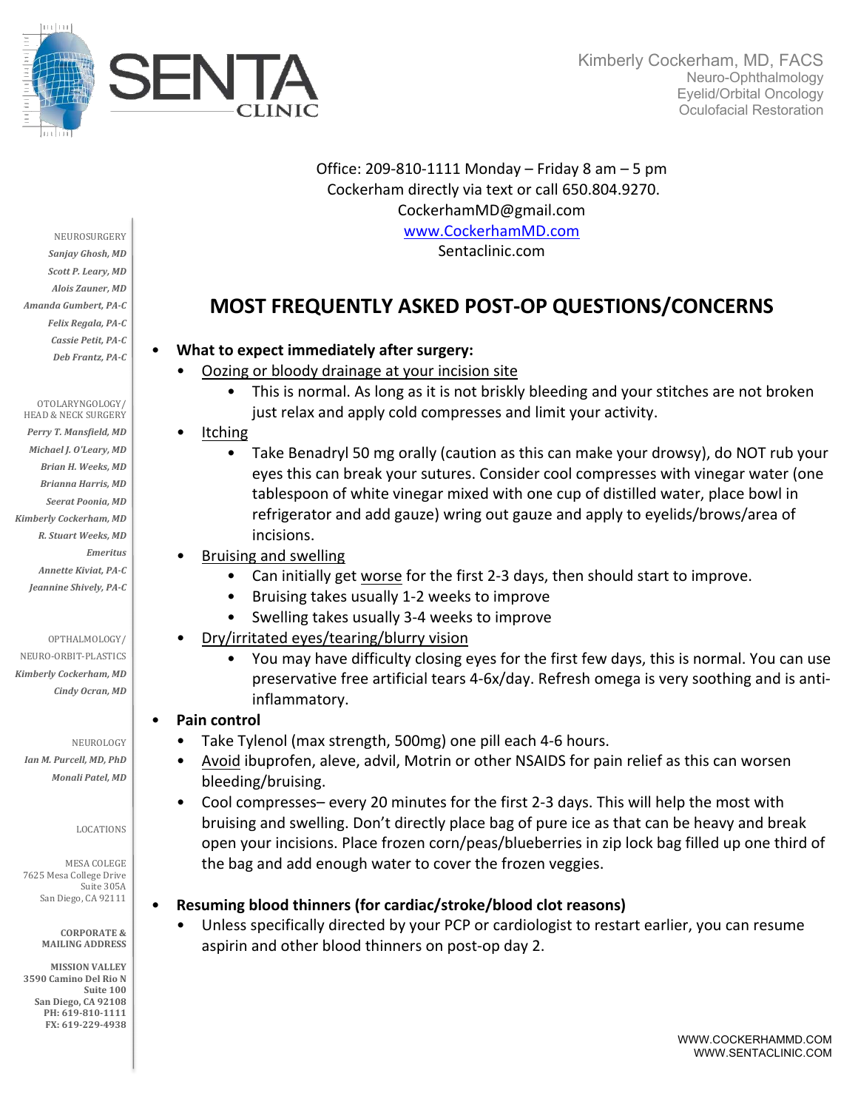

Office: 209-810-1111 Monday – Friday 8 am – 5 pm Cockerham directly via text or call 650.804.9270. CockerhamMD@gmail.com www.CockerhamMD.com Sentaclinic.com

# **MOST FREQUENTLY ASKED POST-OP QUESTIONS/CONCERNS**

## • **What to expect immediately after surgery:**

- Oozing or bloody drainage at your incision site
	- This is normal. As long as it is not briskly bleeding and your stitches are not broken just relax and apply cold compresses and limit your activity.
- Itching
	- Take Benadryl 50 mg orally (caution as this can make your drowsy), do NOT rub your eyes this can break your sutures. Consider cool compresses with vinegar water (one tablespoon of white vinegar mixed with one cup of distilled water, place bowl in refrigerator and add gauze) wring out gauze and apply to eyelids/brows/area of incisions.
- Bruising and swelling
	- Can initially get worse for the first 2-3 days, then should start to improve.
	- Bruising takes usually 1-2 weeks to improve
	- Swelling takes usually 3-4 weeks to improve
- Dry/irritated eyes/tearing/blurry vision
	- You may have difficulty closing eyes for the first few days, this is normal. You can use preservative free artificial tears 4-6x/day. Refresh omega is very soothing and is antiinflammatory.

### • **Pain control**

- Take Tylenol (max strength, 500mg) one pill each 4-6 hours.
- Avoid ibuprofen, aleve, advil, Motrin or other NSAIDS for pain relief as this can worsen bleeding/bruising.
- Cool compresses– every 20 minutes for the first 2-3 days. This will help the most with bruising and swelling. Don't directly place bag of pure ice as that can be heavy and break open your incisions. Place frozen corn/peas/blueberries in zip lock bag filled up one third of the bag and add enough water to cover the frozen veggies.

### • **Resuming blood thinners (for cardiac/stroke/blood clot reasons)**

Unless specifically directed by your PCP or cardiologist to restart earlier, you can resume aspirin and other blood thinners on post-op day 2.

NEUROSURGERY Sanjay Ghosh, MD *Scott P. Leary, MD Alois Zauner, MD Amanda Gumbert, PA-C Felix Regala, PA-C Cassie Petit, PA-C Deb Frantz, PA-C*

#### OTOLARYNGOLOGY/ HEAD & NECK SURGERY

Perry T. Mansfield, MD *Michael J. O'Leary, MD Brian H. Weeks, MD Brianna Harris, MD Seerat Poonia, MD Kimberly Cockerham, MD R. Stuart Weeks, MD Emeritus Annette Kiviat, PA-C* Jeannine Shively, PA-C

OPTHALMOLOGY/

NEURO-ORBIT-PLASTICS *Kimberly Cockerham, MD Cindy Ocran, MD*

NEUROLOGY *Ian M. Purcell, MD, PhD Monali Patel, MD*

#### LOCATIONS

MESA COLEGE 7625 Mesa College Drive Suite 305A San Diego, CA 92111

> **CORPORATE & MAILING ADDRESS**

**MISSION VALLEY 3590 Camino Del Rio N** Suite 100 **San Diego, CA 92108** PH: 619-810-1111 **FX: 619-229-4938**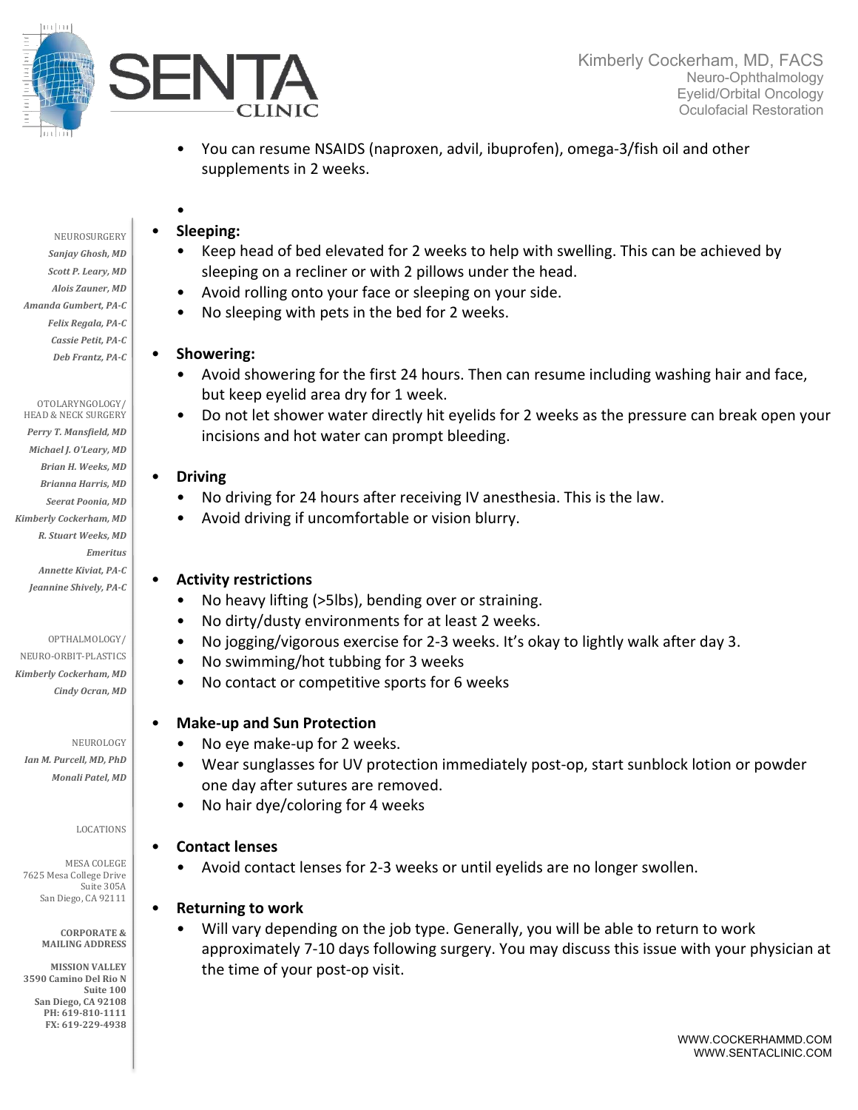

- You can resume NSAIDS (naproxen, advil, ibuprofen), omega-3/fish oil and other supplements in 2 weeks.
- NEUROSURGERY Sanjay Ghosh, MD *Scott P. Leary, MD Alois Zauner, MD Amanda Gumbert, PA-C Felix Regala, PA-C Cassie Petit, PA-C Deb Frantz, PA-C*

#### OTOLARYNGOLOGY/ HEAD & NECK SURGERY

Perry T. Mansfield, MD *Michael J. O'Leary, MD Brian H. Weeks, MD Brianna Harris, MD Seerat Poonia, MD Kimberly Cockerham, MD R. Stuart Weeks, MD Emeritus Annette Kiviat, PA-C* Jeannine Shively, PA-C

#### OPTHALMOLOGY/

NEURO-ORBIT-PLASTICS *Kimberly Cockerham, MD Cindy Ocran, MD*

NEUROLOGY *Ian M. Purcell, MD, PhD Monali Patel, MD*

#### LOCATIONS

MESA COLEGE 7625 Mesa College Drive Suite 305A San Diego, CA 92111

> **CORPORATE & MAILING ADDRESS**

**MISSION VALLEY 3590 Camino Del Rio N** Suite 100 **San Diego, CA 92108** PH: 619-810-1111 **FX: 619-229-4938**

## • **Sleeping:**

•

- Keep head of bed elevated for 2 weeks to help with swelling. This can be achieved by sleeping on a recliner or with 2 pillows under the head.
- Avoid rolling onto your face or sleeping on your side.
- No sleeping with pets in the bed for 2 weeks.

### • **Showering:**

- Avoid showering for the first 24 hours. Then can resume including washing hair and face, but keep eyelid area dry for 1 week.
- Do not let shower water directly hit eyelids for 2 weeks as the pressure can break open your incisions and hot water can prompt bleeding.

### • **Driving**

- No driving for 24 hours after receiving IV anesthesia. This is the law.
- Avoid driving if uncomfortable or vision blurry.

### • **Activity restrictions**

- No heavy lifting (>5lbs), bending over or straining.
- No dirty/dusty environments for at least 2 weeks.
- No jogging/vigorous exercise for 2-3 weeks. It's okay to lightly walk after day 3.
- No swimming/hot tubbing for 3 weeks
- No contact or competitive sports for 6 weeks

# • **Make-up and Sun Protection**

- No eye make-up for 2 weeks.
- Wear sunglasses for UV protection immediately post-op, start sunblock lotion or powder one day after sutures are removed.
- No hair dye/coloring for 4 weeks

# • **Contact lenses**

• Avoid contact lenses for 2-3 weeks or until eyelids are no longer swollen.

### • **Returning to work**

• Will vary depending on the job type. Generally, you will be able to return to work approximately 7-10 days following surgery. You may discuss this issue with your physician at the time of your post-op visit.